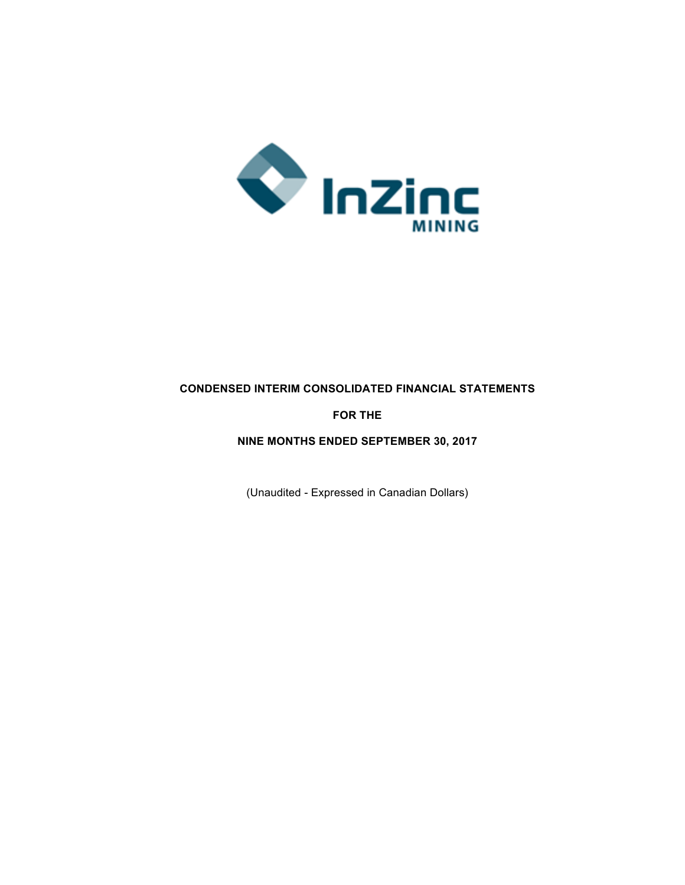

# **CONDENSED INTERIM CONSOLIDATED FINANCIAL STATEMENTS**

# **FOR THE**

## **NINE MONTHS ENDED SEPTEMBER 30, 2017**

(Unaudited - Expressed in Canadian Dollars)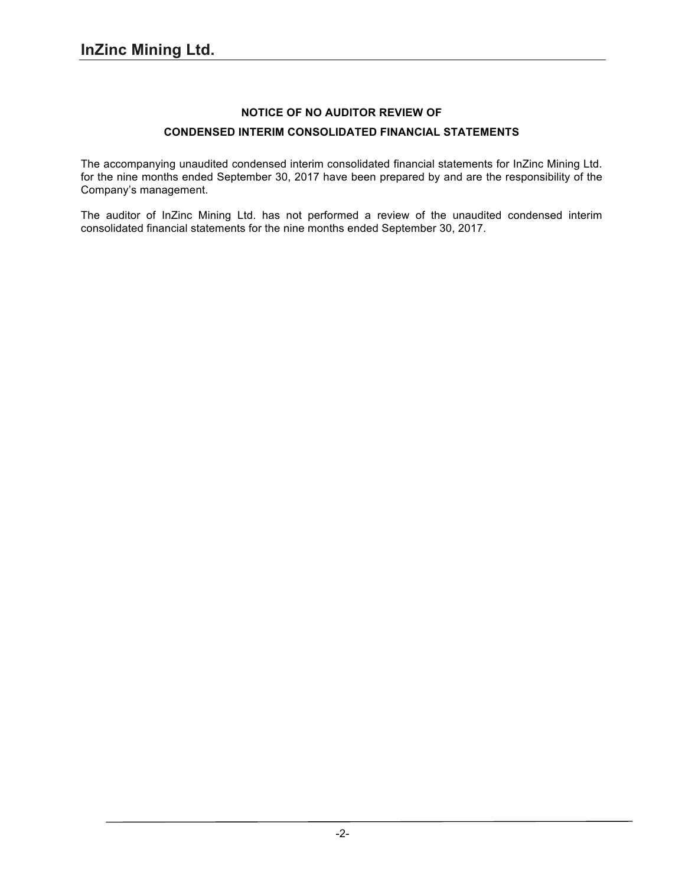# **NOTICE OF NO AUDITOR REVIEW OF**

# **CONDENSED INTERIM CONSOLIDATED FINANCIAL STATEMENTS**

The accompanying unaudited condensed interim consolidated financial statements for InZinc Mining Ltd. for the nine months ended September 30, 2017 have been prepared by and are the responsibility of the Company's management.

The auditor of InZinc Mining Ltd. has not performed a review of the unaudited condensed interim consolidated financial statements for the nine months ended September 30, 2017.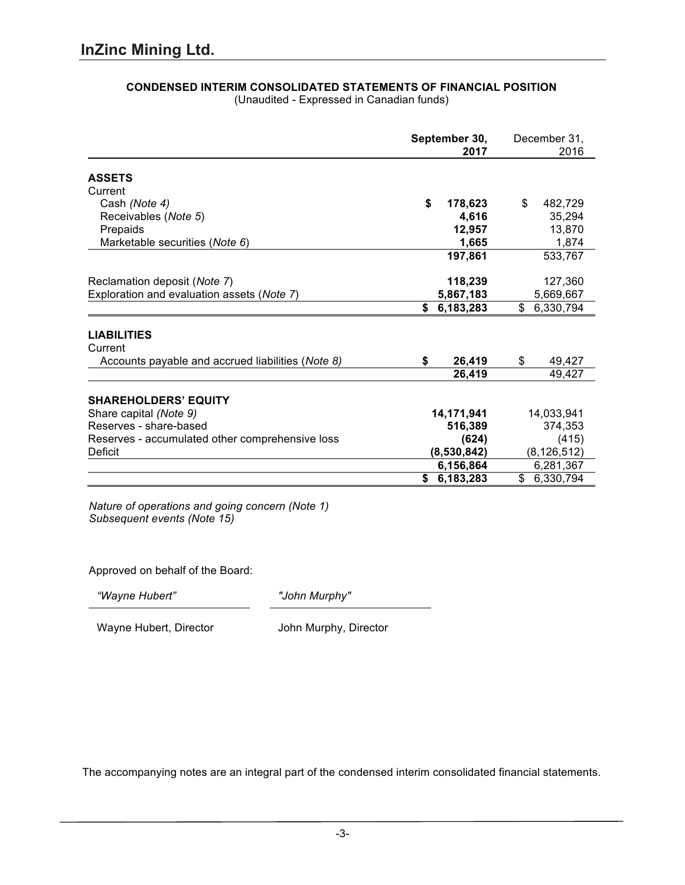|                                                   | September 30,   | December 31,    |
|---------------------------------------------------|-----------------|-----------------|
|                                                   | 2017            | 2016            |
| <b>ASSETS</b>                                     |                 |                 |
| Current                                           |                 |                 |
| Cash (Note 4)                                     | \$<br>178,623   | \$<br>482,729   |
| Receivables (Note 5)                              | 4,616           | 35,294          |
| Prepaids                                          | 12,957          | 13,870          |
| Marketable securities (Note 6)                    | 1,665           | 1,874           |
|                                                   | 197,861         | 533,767         |
| Reclamation deposit (Note 7)                      | 118,239         | 127,360         |
| Exploration and evaluation assets (Note 7)        | 5,867,183       | 5,669,667       |
|                                                   | 6,183,283<br>\$ | \$<br>6,330,794 |
| <b>LIABILITIES</b>                                |                 |                 |
| Current                                           |                 |                 |
| Accounts payable and accrued liabilities (Note 8) | 26,419<br>\$    | \$<br>49,427    |
|                                                   | 26,419          | 49,427          |
| <b>SHAREHOLDERS' EQUITY</b>                       |                 |                 |
| Share capital (Note 9)                            | 14,171,941      | 14,033,941      |
| Reserves - share-based                            | 516,389         | 374,353         |
| Reserves - accumulated other comprehensive loss   | (624)           | (415)           |
| Deficit                                           | (8,530,842)     | (8, 126, 512)   |
|                                                   | 6,156,864       | 6,281,367       |
|                                                   | 6,183,283<br>\$ | \$<br>6,330,794 |

# **CONDENSED INTERIM CONSOLIDATED STATEMENTS OF FINANCIAL POSITION**

(Unaudited - Expressed in Canadian funds)

*Nature of operations and going concern (Note 1) Subsequent events (Note 15)*

Approved on behalf of the Board:

*"Wayne Hubert" "John Murphy"*

Wayne Hubert, Director **John Murphy, Director**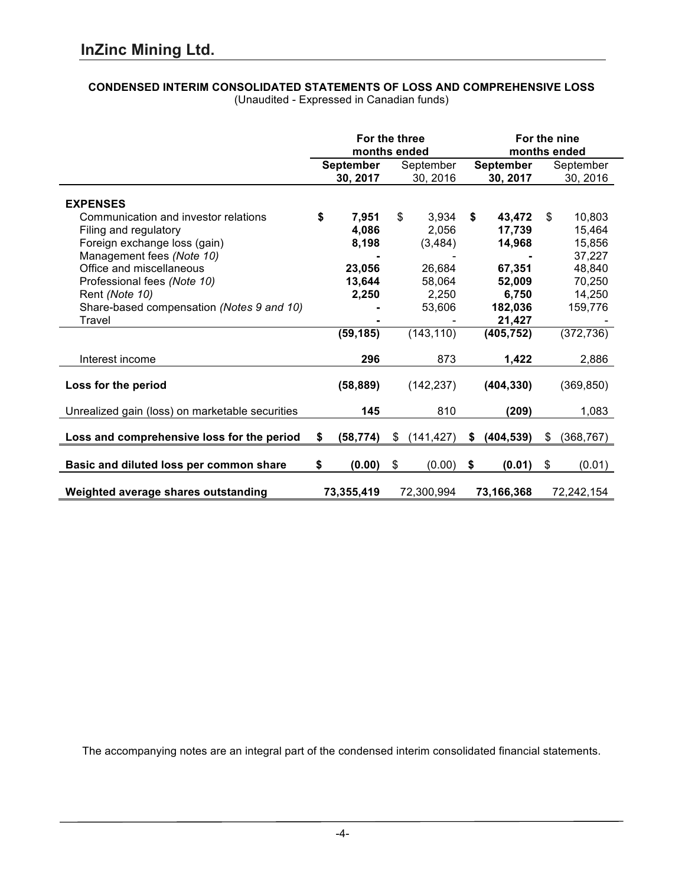# **CONDENSED INTERIM CONSOLIDATED STATEMENTS OF LOSS AND COMPREHENSIVE LOSS**

|                                                 | For the three<br>months ended |                  |           |             | For the nine<br>months ended |            |           |            |
|-------------------------------------------------|-------------------------------|------------------|-----------|-------------|------------------------------|------------|-----------|------------|
|                                                 |                               | <b>September</b> | September |             | September                    |            | September |            |
|                                                 |                               | 30, 2017         |           | 30, 2016    |                              | 30, 2017   |           | 30, 2016   |
| <b>EXPENSES</b>                                 |                               |                  |           |             |                              |            |           |            |
| Communication and investor relations            | \$                            | 7,951            | \$        | 3,934       | \$                           | 43,472     | \$        | 10,803     |
| Filing and regulatory                           |                               | 4,086            |           | 2,056       |                              | 17,739     |           | 15,464     |
| Foreign exchange loss (gain)                    |                               | 8,198            |           | (3, 484)    |                              | 14,968     |           | 15,856     |
| Management fees (Note 10)                       |                               |                  |           |             |                              |            |           | 37,227     |
| Office and miscellaneous                        |                               | 23,056           |           | 26,684      |                              | 67,351     |           | 48,840     |
| Professional fees (Note 10)                     |                               | 13,644           |           | 58,064      |                              | 52,009     |           | 70,250     |
| Rent (Note 10)                                  |                               | 2,250            |           | 2,250       |                              | 6,750      |           | 14,250     |
| Share-based compensation (Notes 9 and 10)       |                               |                  |           | 53,606      |                              | 182,036    |           | 159,776    |
| Travel                                          |                               |                  |           |             |                              | 21,427     |           |            |
|                                                 |                               | (59, 185)        |           | (143, 110)  |                              | (405, 752) |           | (372, 736) |
| Interest income                                 |                               | 296              |           | 873         |                              | 1,422      |           | 2,886      |
| Loss for the period                             |                               | (58, 889)        |           | (142, 237)  |                              | (404, 330) |           | (369, 850) |
| Unrealized gain (loss) on marketable securities |                               | 145              |           | 810         |                              | (209)      |           | 1,083      |
| Loss and comprehensive loss for the period      | \$                            | (58, 774)        | \$        | (141, 427)  | \$                           | (404, 539) | \$        | (368, 767) |
| Basic and diluted loss per common share         | \$                            | (0.00)           | \$        | $(0.00)$ \$ |                              | (0.01)     | \$        | (0.01)     |
| Weighted average shares outstanding             |                               | 73,355,419       |           | 72,300,994  |                              | 73,166,368 |           | 72,242,154 |

(Unaudited - Expressed in Canadian funds)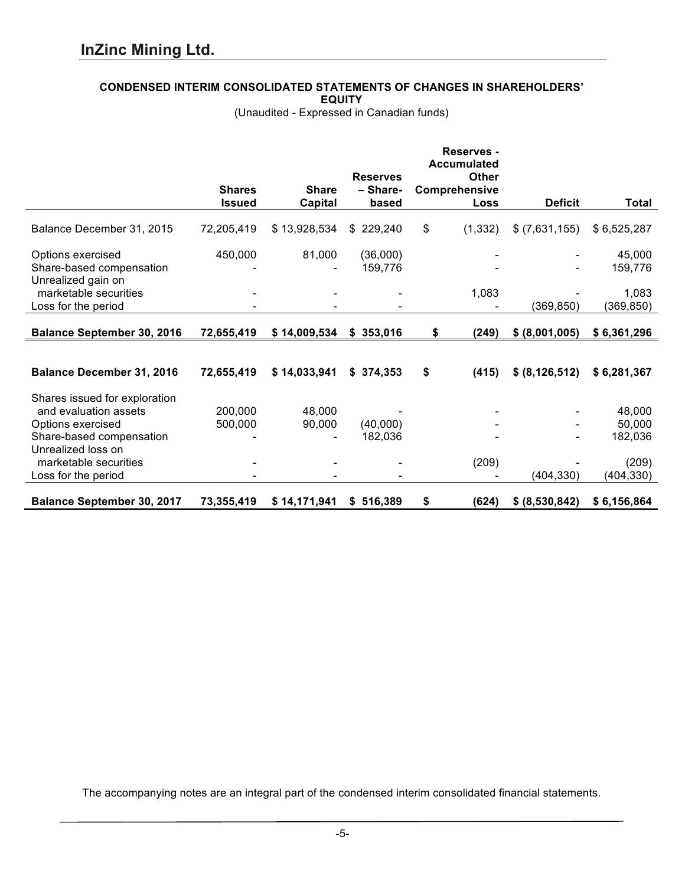# **CONDENSED INTERIM CONSOLIDATED STATEMENTS OF CHANGES IN SHAREHOLDERS'**

**EQUITY**

(Unaudited - Expressed in Canadian funds)

|                                   |               |              |                 | <b>Reserves -</b><br><b>Accumulated</b> |                  |             |
|-----------------------------------|---------------|--------------|-----------------|-----------------------------------------|------------------|-------------|
|                                   |               |              | <b>Reserves</b> | <b>Other</b>                            |                  |             |
|                                   | <b>Shares</b> | <b>Share</b> | - Share-        | Comprehensive                           |                  |             |
|                                   | <b>Issued</b> | Capital      | based           | Loss                                    | <b>Deficit</b>   | Total       |
| Balance December 31, 2015         | 72,205,419    | \$13,928,534 | \$229,240       | \$<br>(1, 332)                          | $$$ (7,631,155)  | \$6,525,287 |
| Options exercised                 | 450,000       | 81,000       | (36,000)        |                                         |                  | 45,000      |
| Share-based compensation          |               |              | 159,776         |                                         |                  | 159,776     |
| Unrealized gain on                |               |              |                 |                                         |                  |             |
| marketable securities             |               |              |                 | 1,083                                   |                  | 1,083       |
| Loss for the period               |               |              |                 |                                         | (369, 850)       | (369, 850)  |
|                                   |               |              |                 |                                         |                  |             |
| <b>Balance September 30, 2016</b> | 72,655,419    | \$14,009,534 | \$353,016       | \$<br>(249)                             | \$ (8,001,005)   | \$6,361,296 |
|                                   |               |              |                 |                                         |                  |             |
| <b>Balance December 31, 2016</b>  | 72,655,419    | \$14,033,941 | \$374,353       | \$<br>(415)                             | \$ (8, 126, 512) | \$6,281,367 |
| Shares issued for exploration     |               |              |                 |                                         |                  |             |
| and evaluation assets             | 200,000       | 48,000       |                 |                                         |                  | 48,000      |
| Options exercised                 | 500,000       | 90,000       | (40,000)        |                                         |                  | 50,000      |
| Share-based compensation          |               |              | 182,036         |                                         |                  | 182,036     |
| Unrealized loss on                |               |              |                 |                                         |                  |             |
| marketable securities             |               |              |                 | (209)                                   |                  | (209)       |
| Loss for the period               |               |              |                 |                                         | (404, 330)       | (404, 330)  |
| <b>Balance September 30, 2017</b> | 73,355,419    | \$14,171,941 | \$516,389       | (624)<br>\$                             | \$ (8,530,842)   | \$6,156,864 |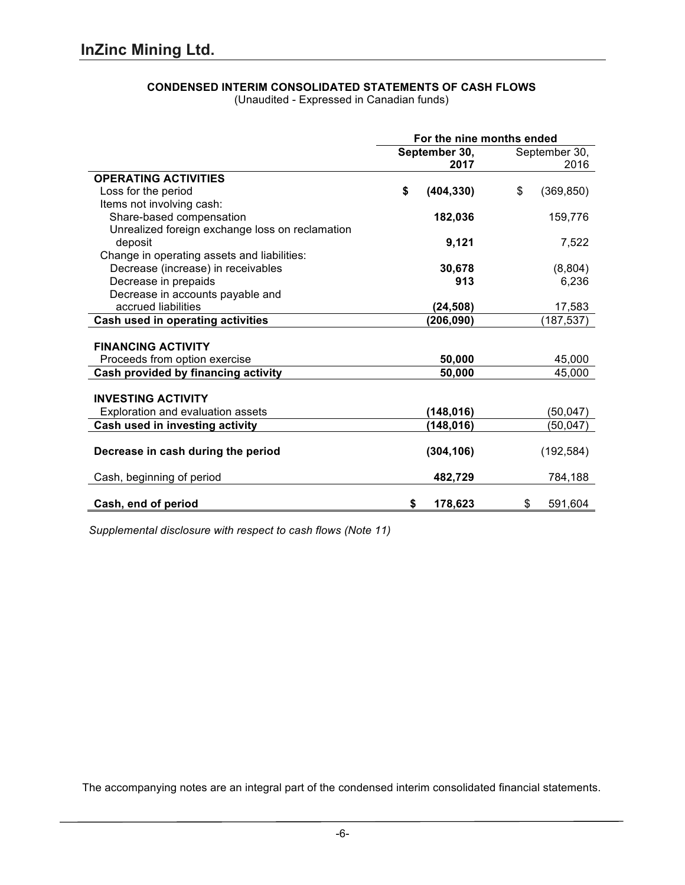# **CONDENSED INTERIM CONSOLIDATED STATEMENTS OF CASH FLOWS**

(Unaudited - Expressed in Canadian funds)

|                                                 | For the nine months ended |            |    |               |
|-------------------------------------------------|---------------------------|------------|----|---------------|
|                                                 | September 30,             |            |    | September 30, |
|                                                 |                           | 2017       |    | 2016          |
| <b>OPERATING ACTIVITIES</b>                     |                           |            |    |               |
| Loss for the period                             | \$                        | (404, 330) | \$ | (369, 850)    |
| Items not involving cash:                       |                           |            |    |               |
| Share-based compensation                        |                           | 182,036    |    | 159,776       |
| Unrealized foreign exchange loss on reclamation |                           |            |    |               |
| deposit                                         |                           | 9,121      |    | 7,522         |
| Change in operating assets and liabilities:     |                           |            |    |               |
| Decrease (increase) in receivables              |                           | 30,678     |    | (8,804)       |
| Decrease in prepaids                            |                           | 913        |    | 6,236         |
| Decrease in accounts payable and                |                           |            |    |               |
| accrued liabilities                             |                           | (24, 508)  |    | 17,583        |
| Cash used in operating activities               |                           | (206, 090) |    | (187, 537)    |
|                                                 |                           |            |    |               |
| <b>FINANCING ACTIVITY</b>                       |                           |            |    |               |
| Proceeds from option exercise                   |                           | 50,000     |    | 45,000        |
| Cash provided by financing activity             |                           | 50,000     |    | 45,000        |
|                                                 |                           |            |    |               |
| <b>INVESTING ACTIVITY</b>                       |                           |            |    |               |
| Exploration and evaluation assets               |                           | (148, 016) |    | (50, 047)     |
| Cash used in investing activity                 |                           | (148,016)  |    | (50, 047)     |
|                                                 |                           |            |    |               |
| Decrease in cash during the period              |                           | (304, 106) |    | (192, 584)    |
|                                                 |                           |            |    |               |
| Cash, beginning of period                       |                           | 482,729    |    | 784,188       |
|                                                 |                           |            |    |               |
| Cash, end of period                             | \$                        | 178,623    | \$ | 591,604       |

*Supplemental disclosure with respect to cash flows (Note 11)*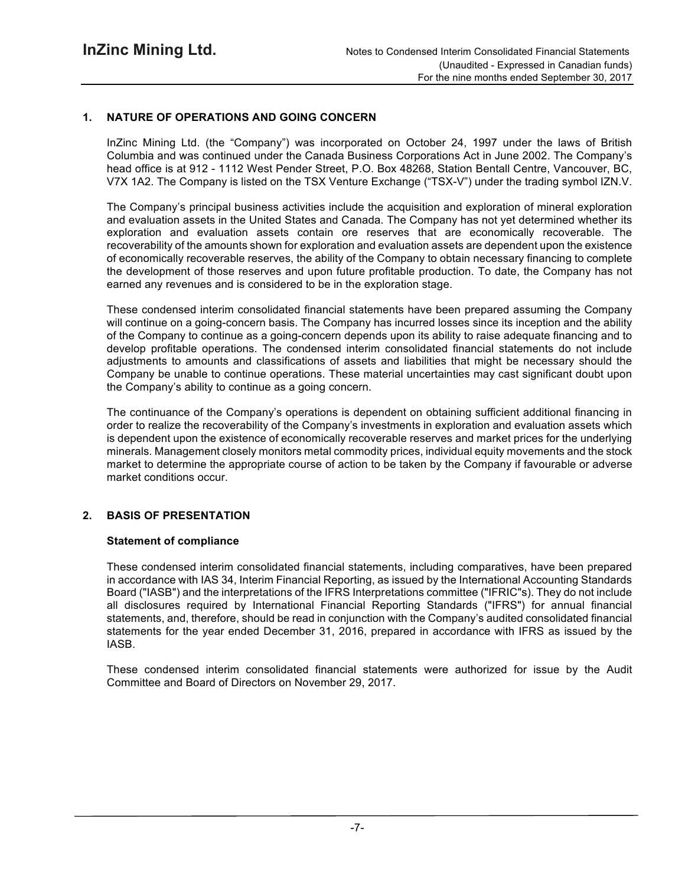# **1. NATURE OF OPERATIONS AND GOING CONCERN**

InZinc Mining Ltd. (the "Company") was incorporated on October 24, 1997 under the laws of British Columbia and was continued under the Canada Business Corporations Act in June 2002. The Company's head office is at 912 - 1112 West Pender Street, P.O. Box 48268, Station Bentall Centre, Vancouver, BC, V7X 1A2. The Company is listed on the TSX Venture Exchange ("TSX-V") under the trading symbol IZN.V.

The Company's principal business activities include the acquisition and exploration of mineral exploration and evaluation assets in the United States and Canada. The Company has not yet determined whether its exploration and evaluation assets contain ore reserves that are economically recoverable. The recoverability of the amounts shown for exploration and evaluation assets are dependent upon the existence of economically recoverable reserves, the ability of the Company to obtain necessary financing to complete the development of those reserves and upon future profitable production. To date, the Company has not earned any revenues and is considered to be in the exploration stage.

These condensed interim consolidated financial statements have been prepared assuming the Company will continue on a going-concern basis. The Company has incurred losses since its inception and the ability of the Company to continue as a going-concern depends upon its ability to raise adequate financing and to develop profitable operations. The condensed interim consolidated financial statements do not include adjustments to amounts and classifications of assets and liabilities that might be necessary should the Company be unable to continue operations. These material uncertainties may cast significant doubt upon the Company's ability to continue as a going concern.

The continuance of the Company's operations is dependent on obtaining sufficient additional financing in order to realize the recoverability of the Company's investments in exploration and evaluation assets which is dependent upon the existence of economically recoverable reserves and market prices for the underlying minerals. Management closely monitors metal commodity prices, individual equity movements and the stock market to determine the appropriate course of action to be taken by the Company if favourable or adverse market conditions occur.

# **2. BASIS OF PRESENTATION**

# **Statement of compliance**

These condensed interim consolidated financial statements, including comparatives, have been prepared in accordance with IAS 34, Interim Financial Reporting, as issued by the International Accounting Standards Board ("IASB") and the interpretations of the IFRS Interpretations committee ("IFRIC"s). They do not include all disclosures required by International Financial Reporting Standards ("IFRS") for annual financial statements, and, therefore, should be read in conjunction with the Company's audited consolidated financial statements for the year ended December 31, 2016, prepared in accordance with IFRS as issued by the IASB.

These condensed interim consolidated financial statements were authorized for issue by the Audit Committee and Board of Directors on November 29, 2017.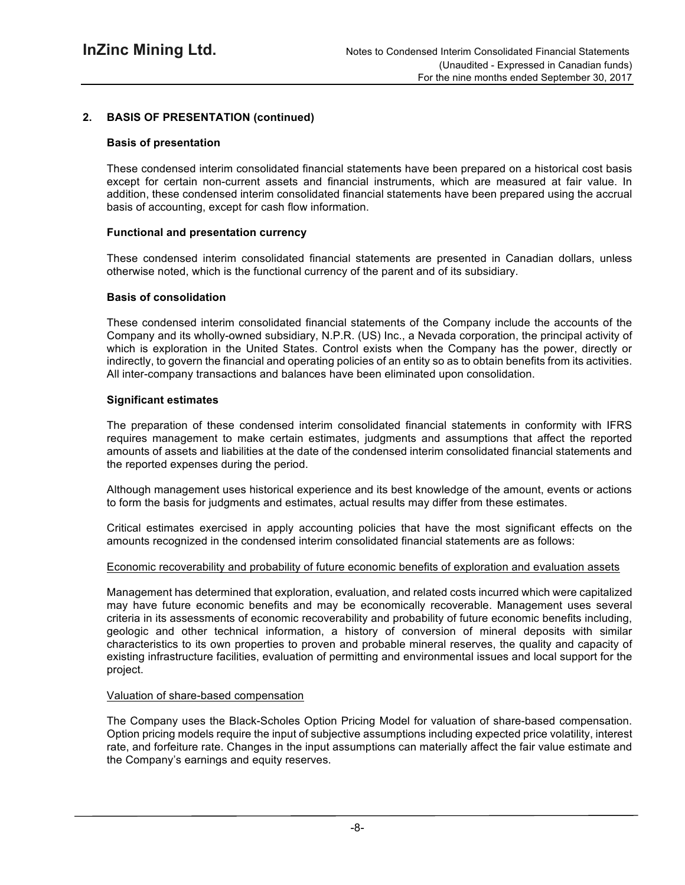# **2. BASIS OF PRESENTATION (continued)**

#### **Basis of presentation**

These condensed interim consolidated financial statements have been prepared on a historical cost basis except for certain non-current assets and financial instruments, which are measured at fair value. In addition, these condensed interim consolidated financial statements have been prepared using the accrual basis of accounting, except for cash flow information.

#### **Functional and presentation currency**

These condensed interim consolidated financial statements are presented in Canadian dollars, unless otherwise noted, which is the functional currency of the parent and of its subsidiary.

#### **Basis of consolidation**

These condensed interim consolidated financial statements of the Company include the accounts of the Company and its wholly-owned subsidiary, N.P.R. (US) Inc., a Nevada corporation, the principal activity of which is exploration in the United States. Control exists when the Company has the power, directly or indirectly, to govern the financial and operating policies of an entity so as to obtain benefits from its activities. All inter-company transactions and balances have been eliminated upon consolidation.

#### **Significant estimates**

The preparation of these condensed interim consolidated financial statements in conformity with IFRS requires management to make certain estimates, judgments and assumptions that affect the reported amounts of assets and liabilities at the date of the condensed interim consolidated financial statements and the reported expenses during the period.

Although management uses historical experience and its best knowledge of the amount, events or actions to form the basis for judgments and estimates, actual results may differ from these estimates.

Critical estimates exercised in apply accounting policies that have the most significant effects on the amounts recognized in the condensed interim consolidated financial statements are as follows:

#### Economic recoverability and probability of future economic benefits of exploration and evaluation assets

Management has determined that exploration, evaluation, and related costs incurred which were capitalized may have future economic benefits and may be economically recoverable. Management uses several criteria in its assessments of economic recoverability and probability of future economic benefits including, geologic and other technical information, a history of conversion of mineral deposits with similar characteristics to its own properties to proven and probable mineral reserves, the quality and capacity of existing infrastructure facilities, evaluation of permitting and environmental issues and local support for the project.

#### Valuation of share-based compensation

The Company uses the Black-Scholes Option Pricing Model for valuation of share-based compensation. Option pricing models require the input of subjective assumptions including expected price volatility, interest rate, and forfeiture rate. Changes in the input assumptions can materially affect the fair value estimate and the Company's earnings and equity reserves.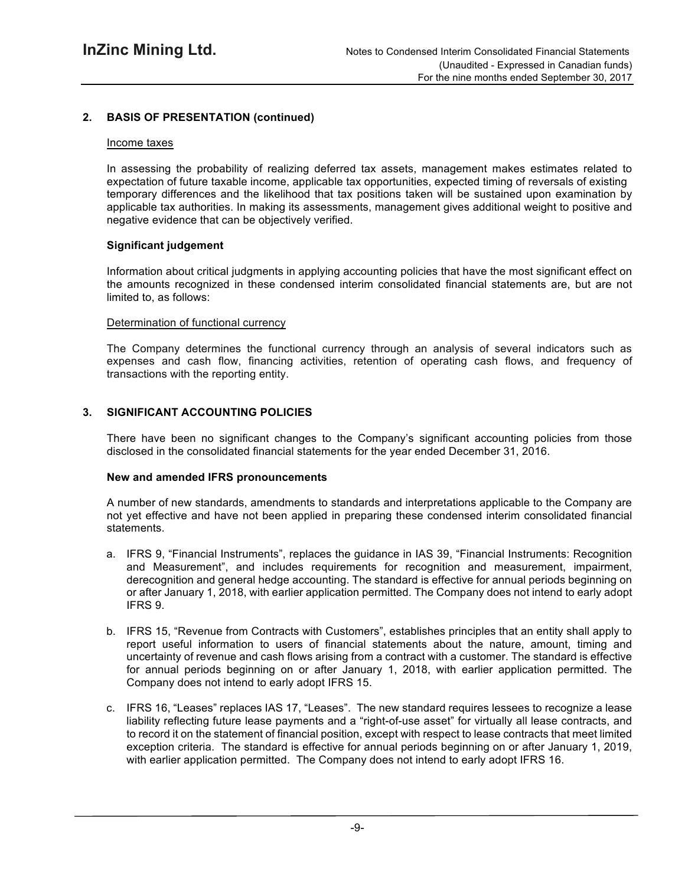# **2. BASIS OF PRESENTATION (continued)**

#### Income taxes

In assessing the probability of realizing deferred tax assets, management makes estimates related to expectation of future taxable income, applicable tax opportunities, expected timing of reversals of existing temporary differences and the likelihood that tax positions taken will be sustained upon examination by applicable tax authorities. In making its assessments, management gives additional weight to positive and negative evidence that can be objectively verified.

#### **Significant judgement**

Information about critical judgments in applying accounting policies that have the most significant effect on the amounts recognized in these condensed interim consolidated financial statements are, but are not limited to, as follows:

#### Determination of functional currency

The Company determines the functional currency through an analysis of several indicators such as expenses and cash flow, financing activities, retention of operating cash flows, and frequency of transactions with the reporting entity.

# **3. SIGNIFICANT ACCOUNTING POLICIES**

There have been no significant changes to the Company's significant accounting policies from those disclosed in the consolidated financial statements for the year ended December 31, 2016.

#### **New and amended IFRS pronouncements**

A number of new standards, amendments to standards and interpretations applicable to the Company are not yet effective and have not been applied in preparing these condensed interim consolidated financial statements.

- a. IFRS 9, "Financial Instruments", replaces the guidance in IAS 39, "Financial Instruments: Recognition and Measurement", and includes requirements for recognition and measurement, impairment, derecognition and general hedge accounting. The standard is effective for annual periods beginning on or after January 1, 2018, with earlier application permitted. The Company does not intend to early adopt IFRS 9.
- b. IFRS 15, "Revenue from Contracts with Customers", establishes principles that an entity shall apply to report useful information to users of financial statements about the nature, amount, timing and uncertainty of revenue and cash flows arising from a contract with a customer. The standard is effective for annual periods beginning on or after January 1, 2018, with earlier application permitted. The Company does not intend to early adopt IFRS 15.
- c. IFRS 16, "Leases" replaces IAS 17, "Leases". The new standard requires lessees to recognize a lease liability reflecting future lease payments and a "right-of-use asset" for virtually all lease contracts, and to record it on the statement of financial position, except with respect to lease contracts that meet limited exception criteria. The standard is effective for annual periods beginning on or after January 1, 2019, with earlier application permitted. The Company does not intend to early adopt IFRS 16.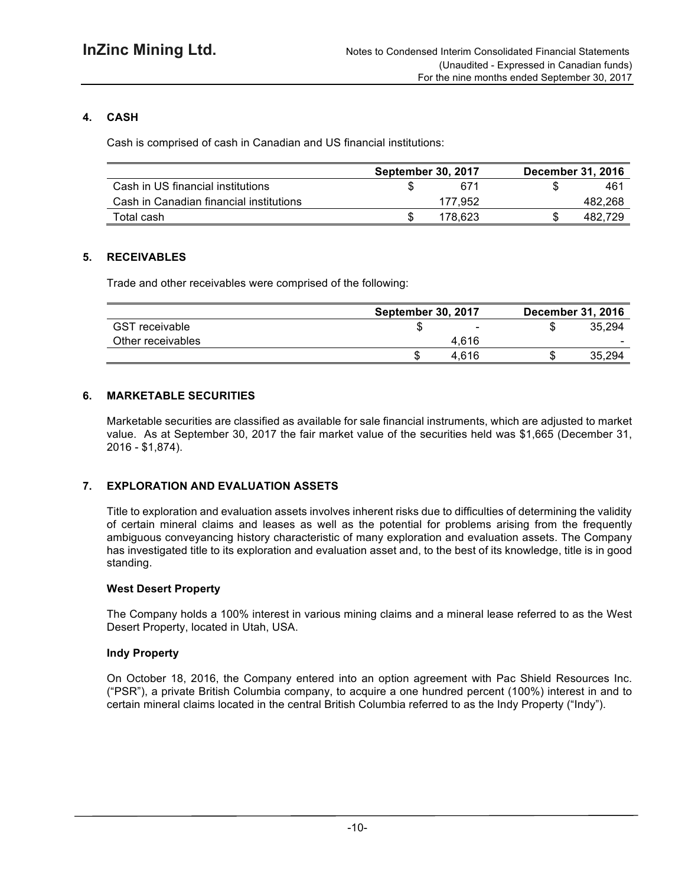# **4. CASH**

Cash is comprised of cash in Canadian and US financial institutions:

|                                         | <b>September 30, 2017</b> | <b>December 31, 2016</b> |
|-----------------------------------------|---------------------------|--------------------------|
| Cash in US financial institutions       | 671                       | 461                      |
| Cash in Canadian financial institutions | 177.952                   | 482.268                  |
| Total cash                              | 178.623                   | 482.729                  |

# **5. RECEIVABLES**

Trade and other receivables were comprised of the following:

|                       | <b>September 30, 2017</b> | <b>December 31, 2016</b> |
|-----------------------|---------------------------|--------------------------|
| <b>GST</b> receivable | $\blacksquare$            | 35.294                   |
| Other receivables     | 4.616                     | -                        |
|                       | 4.616                     | 35.294                   |

# **6. MARKETABLE SECURITIES**

Marketable securities are classified as available for sale financial instruments, which are adjusted to market value. As at September 30, 2017 the fair market value of the securities held was \$1,665 (December 31, 2016 - \$1,874).

# **7. EXPLORATION AND EVALUATION ASSETS**

Title to exploration and evaluation assets involves inherent risks due to difficulties of determining the validity of certain mineral claims and leases as well as the potential for problems arising from the frequently ambiguous conveyancing history characteristic of many exploration and evaluation assets. The Company has investigated title to its exploration and evaluation asset and, to the best of its knowledge, title is in good standing.

# **West Desert Property**

The Company holds a 100% interest in various mining claims and a mineral lease referred to as the West Desert Property, located in Utah, USA.

# **Indy Property**

On October 18, 2016, the Company entered into an option agreement with Pac Shield Resources Inc. ("PSR"), a private British Columbia company, to acquire a one hundred percent (100%) interest in and to certain mineral claims located in the central British Columbia referred to as the Indy Property ("Indy").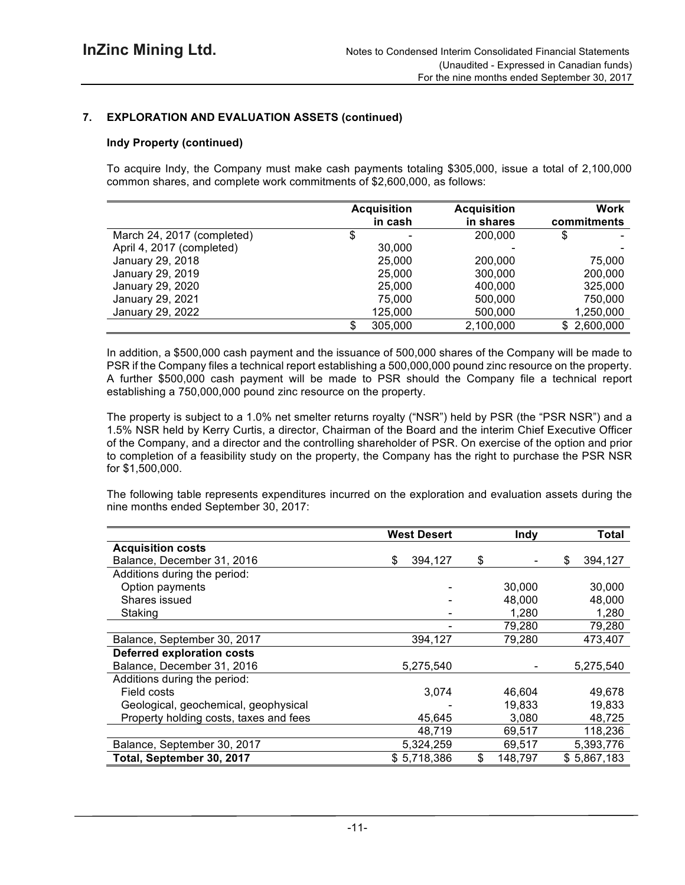# **7. EXPLORATION AND EVALUATION ASSETS (continued)**

## **Indy Property (continued)**

To acquire Indy, the Company must make cash payments totaling \$305,000, issue a total of 2,100,000 common shares, and complete work commitments of \$2,600,000, as follows:

|                            | <b>Acquisition</b> |         | <b>Acquisition</b> | <b>Work</b> |
|----------------------------|--------------------|---------|--------------------|-------------|
|                            |                    | in cash | in shares          | commitments |
| March 24, 2017 (completed) |                    |         | 200,000            | \$          |
| April 4, 2017 (completed)  |                    | 30,000  |                    |             |
| January 29, 2018           |                    | 25,000  | 200,000            | 75,000      |
| January 29, 2019           |                    | 25,000  | 300,000            | 200,000     |
| January 29, 2020           |                    | 25,000  | 400.000            | 325,000     |
| January 29, 2021           |                    | 75,000  | 500,000            | 750,000     |
| January 29, 2022           |                    | 125,000 | 500,000            | 1,250,000   |
|                            |                    | 305,000 | 2,100,000          | \$2,600,000 |

In addition, a \$500,000 cash payment and the issuance of 500,000 shares of the Company will be made to PSR if the Company files a technical report establishing a 500,000,000 pound zinc resource on the property. A further \$500,000 cash payment will be made to PSR should the Company file a technical report establishing a 750,000,000 pound zinc resource on the property.

The property is subject to a 1.0% net smelter returns royalty ("NSR") held by PSR (the "PSR NSR") and a 1.5% NSR held by Kerry Curtis, a director, Chairman of the Board and the interim Chief Executive Officer of the Company, and a director and the controlling shareholder of PSR. On exercise of the option and prior to completion of a feasibility study on the property, the Company has the right to purchase the PSR NSR for \$1,500,000.

The following table represents expenditures incurred on the exploration and evaluation assets during the nine months ended September 30, 2017:

|                                        | <b>West Desert</b> | <b>Indy</b>   | <b>Total</b>  |
|----------------------------------------|--------------------|---------------|---------------|
| <b>Acquisition costs</b>               |                    |               |               |
| Balance, December 31, 2016             | 394,127<br>\$      | \$            | \$<br>394,127 |
| Additions during the period:           |                    |               |               |
| Option payments                        |                    | 30,000        | 30,000        |
| Shares issued                          |                    | 48,000        | 48,000        |
| Staking                                |                    | 1,280         | 1,280         |
|                                        |                    | 79,280        | 79,280        |
| Balance, September 30, 2017            | 394,127            | 79,280        | 473,407       |
| <b>Deferred exploration costs</b>      |                    |               |               |
| Balance, December 31, 2016             | 5,275,540          |               | 5,275,540     |
| Additions during the period:           |                    |               |               |
| Field costs                            | 3,074              | 46,604        | 49,678        |
| Geological, geochemical, geophysical   |                    | 19,833        | 19,833        |
| Property holding costs, taxes and fees | 45,645             | 3,080         | 48,725        |
|                                        | 48,719             | 69,517        | 118,236       |
| Balance, September 30, 2017            | 5,324,259          | 69,517        | 5,393,776     |
| Total, September 30, 2017              | \$5,718,386        | \$<br>148,797 | \$5,867,183   |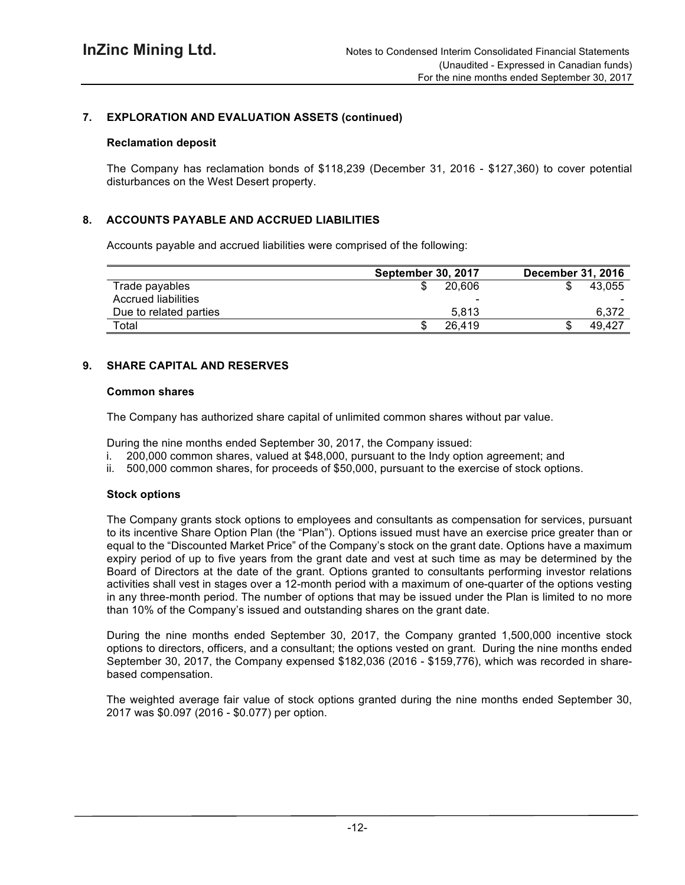# **7. EXPLORATION AND EVALUATION ASSETS (continued)**

#### **Reclamation deposit**

The Company has reclamation bonds of \$118,239 (December 31, 2016 - \$127,360) to cover potential disturbances on the West Desert property.

# **8. ACCOUNTS PAYABLE AND ACCRUED LIABILITIES**

Accounts payable and accrued liabilities were comprised of the following:

|                            | <b>September 30, 2017</b> | <b>December 31, 2016</b> |
|----------------------------|---------------------------|--------------------------|
| Trade payables             | 20.606                    | 43.055                   |
| <b>Accrued liabilities</b> | -                         |                          |
| Due to related parties     | 5.813                     | 6.372                    |
| Total                      | 26.419                    | 49.427                   |

# **9. SHARE CAPITAL AND RESERVES**

#### **Common shares**

The Company has authorized share capital of unlimited common shares without par value.

During the nine months ended September 30, 2017, the Company issued:

- i. 200,000 common shares, valued at \$48,000, pursuant to the Indy option agreement; and
- ii. 500,000 common shares, for proceeds of \$50,000, pursuant to the exercise of stock options.

# **Stock options**

The Company grants stock options to employees and consultants as compensation for services, pursuant to its incentive Share Option Plan (the "Plan"). Options issued must have an exercise price greater than or equal to the "Discounted Market Price" of the Company's stock on the grant date. Options have a maximum expiry period of up to five years from the grant date and vest at such time as may be determined by the Board of Directors at the date of the grant. Options granted to consultants performing investor relations activities shall vest in stages over a 12-month period with a maximum of one-quarter of the options vesting in any three-month period. The number of options that may be issued under the Plan is limited to no more than 10% of the Company's issued and outstanding shares on the grant date.

During the nine months ended September 30, 2017, the Company granted 1,500,000 incentive stock options to directors, officers, and a consultant; the options vested on grant. During the nine months ended September 30, 2017, the Company expensed \$182,036 (2016 - \$159,776), which was recorded in sharebased compensation.

The weighted average fair value of stock options granted during the nine months ended September 30, 2017 was \$0.097 (2016 - \$0.077) per option.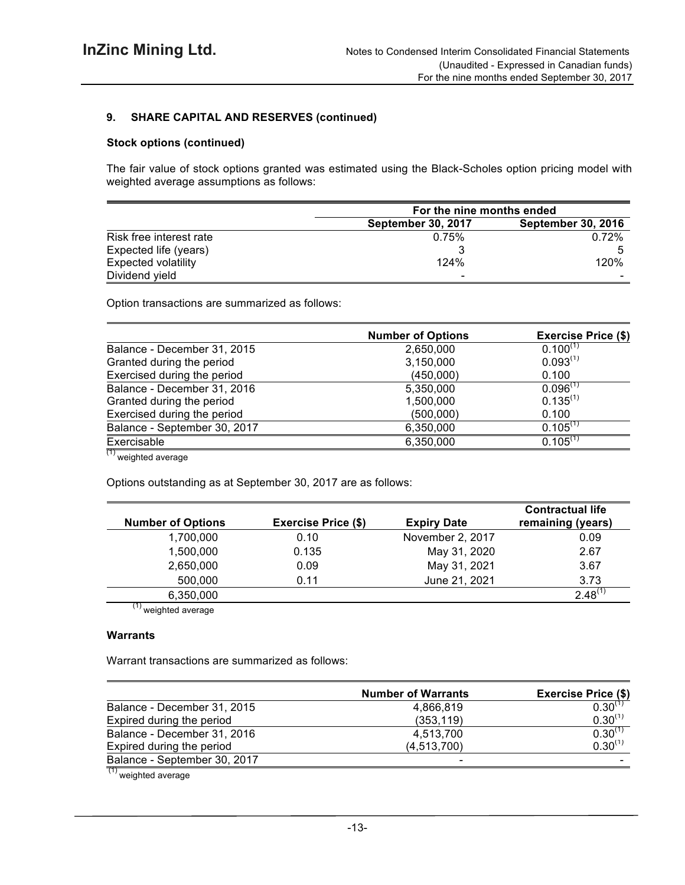# **9. SHARE CAPITAL AND RESERVES (continued)**

## **Stock options (continued)**

The fair value of stock options granted was estimated using the Black-Scholes option pricing model with weighted average assumptions as follows:

|                            | For the nine months ended |                           |  |  |
|----------------------------|---------------------------|---------------------------|--|--|
|                            | <b>September 30, 2017</b> | <b>September 30, 2016</b> |  |  |
| Risk free interest rate    | 0.75%                     | 0.72%                     |  |  |
| Expected life (years)      |                           |                           |  |  |
| <b>Expected volatility</b> | 124%                      | 120%                      |  |  |
| Dividend yield             | $\,$                      |                           |  |  |

Option transactions are summarized as follows:

|                              | <b>Number of Options</b> | <b>Exercise Price (\$)</b> |
|------------------------------|--------------------------|----------------------------|
| Balance - December 31, 2015  | 2,650,000                | $0.100^{(1)}$              |
| Granted during the period    | 3,150,000                | $0.093^{(1)}$              |
| Exercised during the period  | (450,000)                | 0.100                      |
| Balance - December 31, 2016  | 5,350,000                | $0.096^{(1)}$              |
| Granted during the period    | 1,500,000                | $0.135^{(1)}$              |
| Exercised during the period  | (500,000)                | 0.100                      |
| Balance - September 30, 2017 | 6,350,000                | $0.105$ <sup>(1)</sup>     |
| Exercisable                  | 6,350,000                | $0.105^{(1)}$              |
| $\overline{111}$             |                          |                            |

 $(1)$  weighted average

Options outstanding as at September 30, 2017 are as follows:

| <b>Number of Options</b> | <b>Exercise Price (\$)</b> | <b>Expiry Date</b> | <b>Contractual life</b><br>remaining (years) |
|--------------------------|----------------------------|--------------------|----------------------------------------------|
| 1,700,000                | 0.10                       | November 2, 2017   | 0.09                                         |
| 1,500,000                | 0.135                      | May 31, 2020       | 2.67                                         |
| 2,650,000                | 0.09                       | May 31, 2021       | 3.67                                         |
| 500,000                  | 0.11                       | June 21, 2021      | 3.73                                         |
| 6,350,000                |                            |                    | $2.48^{(1)}$                                 |

 $\frac{(1)}{(1)}$  weighted average

#### **Warrants**

Warrant transactions are summarized as follows:

| <b>Number of Warrants</b> | <b>Exercise Price (\$)</b> |
|---------------------------|----------------------------|
| 4.866.819                 | $0.30^{(1)}$               |
| (353, 119)                | $0.30^{(1)}$               |
| 4,513,700                 | $0.30^{(1)}$               |
| (4, 513, 700)             | $0.30^{(1)}$               |
| $\blacksquare$            |                            |
|                           |                            |

 $(1)$  weighted average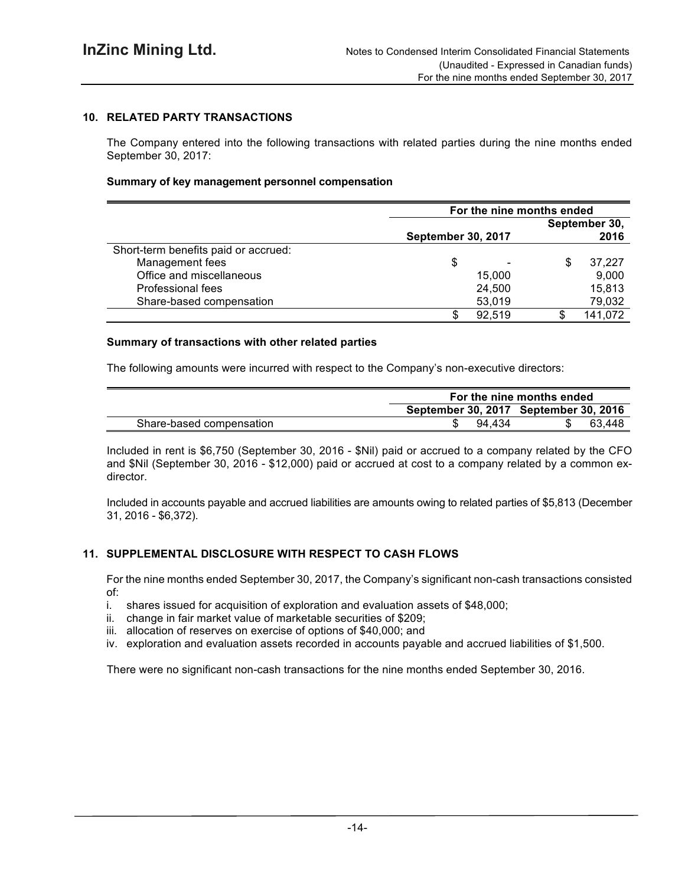# **10. RELATED PARTY TRANSACTIONS**

The Company entered into the following transactions with related parties during the nine months ended September 30, 2017:

#### **Summary of key management personnel compensation**

|                                      | For the nine months ended |                           |    |         |
|--------------------------------------|---------------------------|---------------------------|----|---------|
|                                      | September 30,             |                           |    |         |
|                                      |                           | <b>September 30, 2017</b> |    |         |
| Short-term benefits paid or accrued: |                           |                           |    |         |
| Management fees                      | \$                        |                           | \$ | 37.227  |
| Office and miscellaneous             |                           | 15,000                    |    | 9,000   |
| Professional fees                    |                           | 24,500                    |    | 15,813  |
| Share-based compensation             |                           | 53,019                    |    | 79,032  |
|                                      |                           | 92,519                    |    | 141,072 |

#### **Summary of transactions with other related parties**

The following amounts were incurred with respect to the Company's non-executive directors:

|                          | For the nine months ended |                                       |        |  |  |
|--------------------------|---------------------------|---------------------------------------|--------|--|--|
|                          |                           | September 30, 2017 September 30, 2016 |        |  |  |
| Share-based compensation | 94 434                    |                                       | 63.448 |  |  |

Included in rent is \$6,750 (September 30, 2016 - \$Nil) paid or accrued to a company related by the CFO and \$Nil (September 30, 2016 - \$12,000) paid or accrued at cost to a company related by a common exdirector.

Included in accounts payable and accrued liabilities are amounts owing to related parties of \$5,813 (December 31, 2016 - \$6,372).

#### **11. SUPPLEMENTAL DISCLOSURE WITH RESPECT TO CASH FLOWS**

For the nine months ended September 30, 2017, the Company's significant non-cash transactions consisted of:

- i. shares issued for acquisition of exploration and evaluation assets of \$48,000;<br>ii. change in fair market value of marketable securities of \$209:
- change in fair market value of marketable securities of \$209;
- iii. allocation of reserves on exercise of options of \$40,000; and
- iv. exploration and evaluation assets recorded in accounts payable and accrued liabilities of \$1,500.

There were no significant non-cash transactions for the nine months ended September 30, 2016.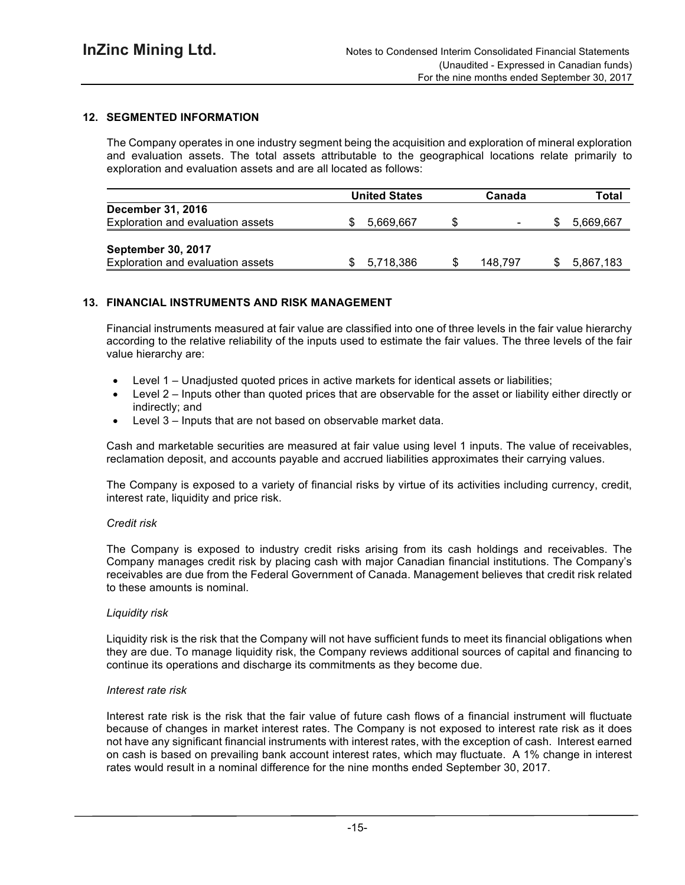# **12. SEGMENTED INFORMATION**

The Company operates in one industry segment being the acquisition and exploration of mineral exploration and evaluation assets. The total assets attributable to the geographical locations relate primarily to exploration and evaluation assets and are all located as follows:

|                                   | <b>United States</b> |   | Canada                   | Total     |
|-----------------------------------|----------------------|---|--------------------------|-----------|
| <b>December 31, 2016</b>          |                      |   |                          |           |
| Exploration and evaluation assets | 5.669.667            | S | $\overline{\phantom{0}}$ | 5,669,667 |
|                                   |                      |   |                          |           |
| September 30, 2017                |                      |   |                          |           |
| Exploration and evaluation assets | 5,718,386            |   | 148.797                  | 5,867,183 |

#### **13. FINANCIAL INSTRUMENTS AND RISK MANAGEMENT**

Financial instruments measured at fair value are classified into one of three levels in the fair value hierarchy according to the relative reliability of the inputs used to estimate the fair values. The three levels of the fair value hierarchy are:

- Level 1 Unadjusted quoted prices in active markets for identical assets or liabilities;
- Level 2 Inputs other than quoted prices that are observable for the asset or liability either directly or indirectly; and
- Level 3 Inputs that are not based on observable market data.

Cash and marketable securities are measured at fair value using level 1 inputs. The value of receivables, reclamation deposit, and accounts payable and accrued liabilities approximates their carrying values.

The Company is exposed to a variety of financial risks by virtue of its activities including currency, credit, interest rate, liquidity and price risk.

#### *Credit risk*

The Company is exposed to industry credit risks arising from its cash holdings and receivables. The Company manages credit risk by placing cash with major Canadian financial institutions. The Company's receivables are due from the Federal Government of Canada. Management believes that credit risk related to these amounts is nominal.

#### *Liquidity risk*

Liquidity risk is the risk that the Company will not have sufficient funds to meet its financial obligations when they are due. To manage liquidity risk, the Company reviews additional sources of capital and financing to continue its operations and discharge its commitments as they become due.

#### *Interest rate risk*

Interest rate risk is the risk that the fair value of future cash flows of a financial instrument will fluctuate because of changes in market interest rates. The Company is not exposed to interest rate risk as it does not have any significant financial instruments with interest rates, with the exception of cash. Interest earned on cash is based on prevailing bank account interest rates, which may fluctuate. A 1% change in interest rates would result in a nominal difference for the nine months ended September 30, 2017.